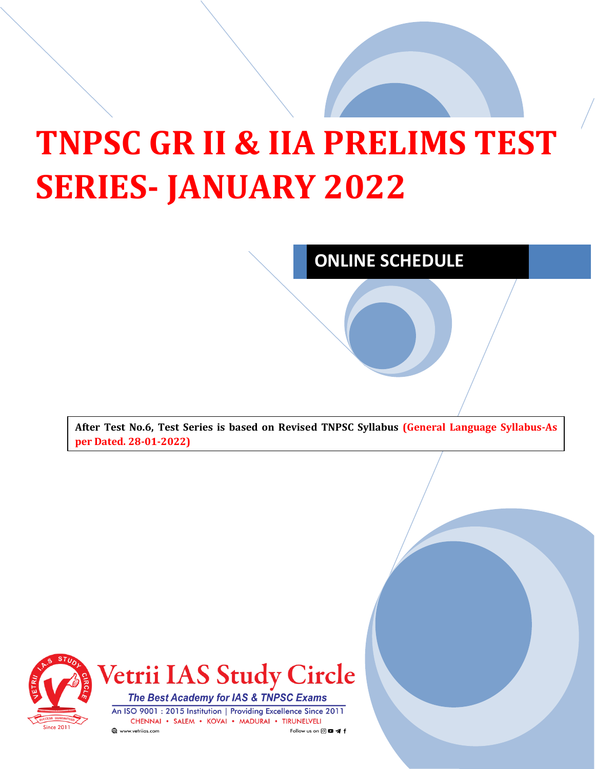## **TNPSC GR II & IIA PRELIMS TEST SERIES- JANUARY 2022**

## **ONLINE SCHEDULE**

**After Test No.6, Test Series is based on Revised TNPSC Syllabus (General Language Syllabus-As per Dated. 28-01-2022)**



**Vetrii IAS Study Circle** 

The Best Academy for IAS & TNPSC Exams An ISO 9001 : 2015 Institution | Providing Excellence Since 2011 CHENNAI · SALEM · KOVAI · MADURAI · TIRUNELVELI www.vetriias.com Follow us on @ **@** </r></r></r>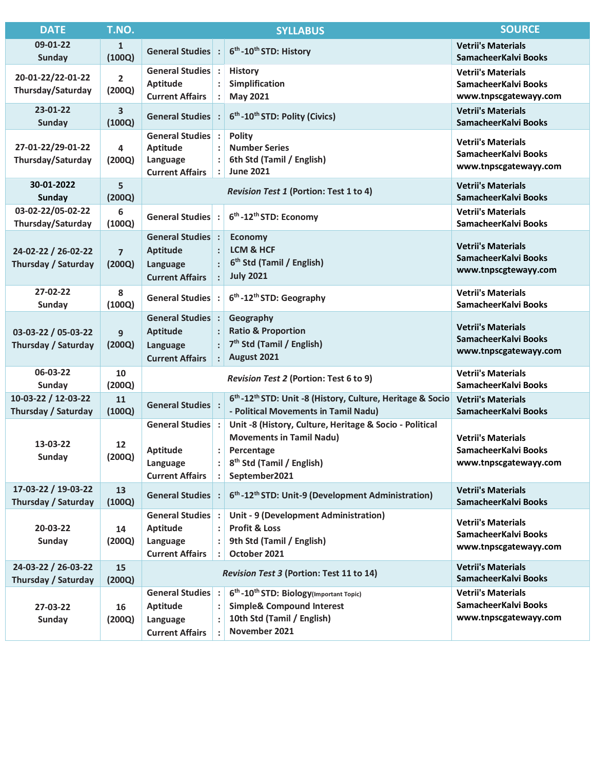| <b>DATE</b>                                | T.NO.                    |                                                                                   | <b>SYLLABUS</b>                                                                                                                                                                      | <b>SOURCE</b>                                                              |
|--------------------------------------------|--------------------------|-----------------------------------------------------------------------------------|--------------------------------------------------------------------------------------------------------------------------------------------------------------------------------------|----------------------------------------------------------------------------|
| 09-01-22<br><b>Sunday</b>                  | 1<br>(100Q)              | General Studies :                                                                 | 6 <sup>th</sup> -10 <sup>th</sup> STD: History                                                                                                                                       | <b>Vetrii's Materials</b><br>SamacheerKalvi Books                          |
| 20-01-22/22-01-22<br>Thursday/Saturday     | $\overline{2}$<br>(200Q) | General Studies :<br>Aptitude<br><b>Current Affairs</b>                           | <b>History</b><br>Simplification<br><b>May 2021</b>                                                                                                                                  | <b>Vetrii's Materials</b><br>SamacheerKalvi Books<br>www.tnpscgatewayy.com |
| 23-01-22<br><b>Sunday</b>                  | 3<br>(100Q)              | <b>General Studies</b> :                                                          | 6 <sup>th</sup> -10 <sup>th</sup> STD: Polity (Civics)                                                                                                                               | <b>Vetrii's Materials</b><br>SamacheerKalvi Books                          |
| 27-01-22/29-01-22<br>Thursday/Saturday     | 4<br>(200Q)              | General Studies :<br>Aptitude<br>Language<br><b>Current Affairs</b>               | <b>Polity</b><br><b>Number Series</b><br>6th Std (Tamil / English)<br><b>June 2021</b>                                                                                               | <b>Vetrii's Materials</b><br>SamacheerKalvi Books<br>www.tnpscgatewayy.com |
| 30-01-2022<br><b>Sunday</b>                | 5<br>(200Q)              | <b>Revision Test 1 (Portion: Test 1 to 4)</b>                                     |                                                                                                                                                                                      | <b>Vetrii's Materials</b><br>SamacheerKalvi Books                          |
| 03-02-22/05-02-22<br>Thursday/Saturday     | 6<br>(100Q)              | General Studies :                                                                 | 6 <sup>th</sup> -12 <sup>th</sup> STD: Economy                                                                                                                                       | <b>Vetrii's Materials</b><br>SamacheerKalvi Books                          |
| 24-02-22 / 26-02-22<br>Thursday / Saturday | $\overline{7}$<br>(200Q) | <b>General Studies</b> :<br><b>Aptitude</b><br>Language<br><b>Current Affairs</b> | <b>Economy</b><br><b>LCM &amp; HCF</b><br>6 <sup>th</sup> Std (Tamil / English)<br><b>July 2021</b>                                                                                  | <b>Vetrii's Materials</b><br>SamacheerKalvi Books<br>www.tnpscgtewayy.com  |
| 27-02-22<br>Sunday                         | 8<br>(100Q)              | General Studies :                                                                 | 6 <sup>th</sup> -12 <sup>th</sup> STD: Geography                                                                                                                                     | <b>Vetrii's Materials</b><br>SamacheerKalvi Books                          |
| 03-03-22 / 05-03-22<br>Thursday / Saturday | 9<br>(200Q)              | General Studies:<br><b>Aptitude</b><br>Language<br><b>Current Affairs</b>         | Geography<br><b>Ratio &amp; Proportion</b><br>7 <sup>th</sup> Std (Tamil / English)<br>$\ddot{\cdot}$<br>August 2021                                                                 | <b>Vetrii's Materials</b><br>SamacheerKalvi Books<br>www.tnpscgatewayy.com |
| 06-03-22<br>Sunday                         | 10<br>(200Q)             | Revision Test 2 (Portion: Test 6 to 9)                                            |                                                                                                                                                                                      | <b>Vetrii's Materials</b><br>SamacheerKalvi Books                          |
| 10-03-22 / 12-03-22<br>Thursday / Saturday | 11<br>(100Q)             | <b>General Studies</b>                                                            | 6 <sup>th</sup> -12 <sup>th</sup> STD: Unit -8 (History, Culture, Heritage & Socio<br>- Political Movements in Tamil Nadu)                                                           | <b>Vetrii's Materials</b><br>SamacheerKalvi Books                          |
| 13-03-22<br><b>Sunday</b>                  | 12<br>(200Q)             | General Studies :<br>Aptitude<br>Language<br><b>Current Affairs</b>               | Unit -8 (History, Culture, Heritage & Socio - Political<br><b>Movements in Tamil Nadu)</b><br>$\ddot{\cdot}$<br>Percentage<br>8 <sup>th</sup> Std (Tamil / English)<br>September2021 | <b>Vetrii's Materials</b><br>SamacheerKalvi Books<br>www.tnpscgatewayy.com |
| 17-03-22 / 19-03-22<br>Thursday / Saturday | 13<br>(100Q)             | General Studies :                                                                 | 6 <sup>th</sup> -12 <sup>th</sup> STD: Unit-9 (Development Administration)                                                                                                           | <b>Vetrii's Materials</b><br>SamacheerKalvi Books                          |
| 20-03-22<br>Sunday                         | 14<br>(200Q)             | General Studies :<br>Aptitude<br>Language<br><b>Current Affairs</b>               | Unit - 9 (Development Administration)<br><b>Profit &amp; Loss</b><br>9th Std (Tamil / English)<br>October 2021                                                                       | <b>Vetrii's Materials</b><br>SamacheerKalvi Books<br>www.tnpscgatewayy.com |
| 24-03-22 / 26-03-22<br>Thursday / Saturday | 15<br>(200Q)             | Revision Test 3 (Portion: Test 11 to 14)                                          |                                                                                                                                                                                      | <b>Vetrii's Materials</b><br>SamacheerKalvi Books                          |
| 27-03-22<br>Sunday                         | 16<br>(200Q)             | General Studies :<br>Aptitude<br>Language<br><b>Current Affairs</b>               | 6 <sup>th</sup> -10 <sup>th</sup> STD: Biology(Important Topic)<br><b>Simple&amp; Compound Interest</b><br>10th Std (Tamil / English)<br>November 2021                               | <b>Vetrii's Materials</b><br>SamacheerKalvi Books<br>www.tnpscgatewayy.com |